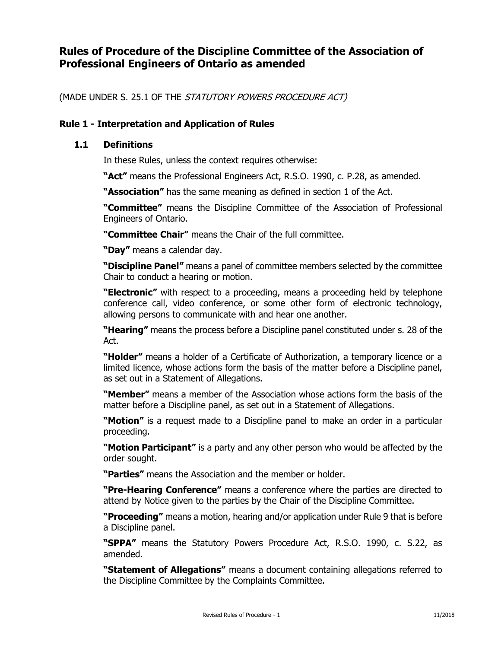# **Rules of Procedure of the Discipline Committee of the Association of Professional Engineers of Ontario as amended**

(MADE UNDER S. 25.1 OF THE STATUTORY POWERS PROCEDURE ACT)

# **Rule 1 - Interpretation and Application of Rules**

# **1.1 Definitions**

In these Rules, unless the context requires otherwise:

**"Act"** means the Professional Engineers Act, R.S.O. 1990, c. P.28, as amended.

**"Association"** has the same meaning as defined in section 1 of the Act.

**"Committee"** means the Discipline Committee of the Association of Professional Engineers of Ontario.

**"Committee Chair"** means the Chair of the full committee.

**"Day"** means a calendar day.

**"Discipline Panel"** means a panel of committee members selected by the committee Chair to conduct a hearing or motion.

**"Electronic"** with respect to a proceeding, means a proceeding held by telephone conference call, video conference, or some other form of electronic technology, allowing persons to communicate with and hear one another.

**"Hearing"** means the process before a Discipline panel constituted under s. 28 of the Act.

**"Holder"** means a holder of a Certificate of Authorization, a temporary licence or a limited licence, whose actions form the basis of the matter before a Discipline panel, as set out in a Statement of Allegations.

**"Member"** means a member of the Association whose actions form the basis of the matter before a Discipline panel, as set out in a Statement of Allegations.

**"Motion"** is a request made to a Discipline panel to make an order in a particular proceeding.

**"Motion Participant"** is a party and any other person who would be affected by the order sought.

**"Parties"** means the Association and the member or holder.

**"Pre-Hearing Conference"** means a conference where the parties are directed to attend by Notice given to the parties by the Chair of the Discipline Committee.

**"Proceeding"** means a motion, hearing and/or application under Rule 9 that is before a Discipline panel.

**"SPPA"** means the Statutory Powers Procedure Act, R.S.O. 1990, c. S.22, as amended.

**"Statement of Allegations"** means a document containing allegations referred to the Discipline Committee by the Complaints Committee.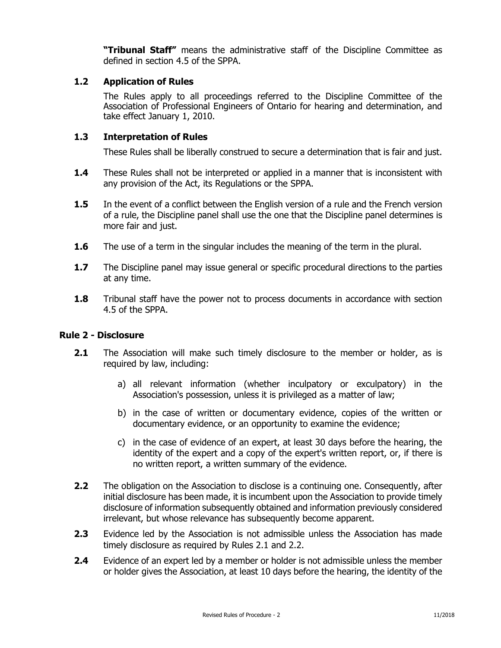**"Tribunal Staff"** means the administrative staff of the Discipline Committee as defined in section 4.5 of the SPPA.

# **1.2 Application of Rules**

The Rules apply to all proceedings referred to the Discipline Committee of the Association of Professional Engineers of Ontario for hearing and determination, and take effect January 1, 2010.

# **1.3 Interpretation of Rules**

These Rules shall be liberally construed to secure a determination that is fair and just.

- **1.4** These Rules shall not be interpreted or applied in a manner that is inconsistent with any provision of the Act, its Regulations or the SPPA.
- **1.5** In the event of a conflict between the English version of a rule and the French version of a rule, the Discipline panel shall use the one that the Discipline panel determines is more fair and just.
- **1.6** The use of a term in the singular includes the meaning of the term in the plural.
- **1.7** The Discipline panel may issue general or specific procedural directions to the parties at any time.
- **1.8** Tribunal staff have the power not to process documents in accordance with section 4.5 of the SPPA.

# **Rule 2 - Disclosure**

- **2.1** The Association will make such timely disclosure to the member or holder, as is required by law, including:
	- a) all relevant information (whether inculpatory or exculpatory) in the Association's possession, unless it is privileged as a matter of law;
	- b) in the case of written or documentary evidence, copies of the written or documentary evidence, or an opportunity to examine the evidence;
	- c) in the case of evidence of an expert, at least 30 days before the hearing, the identity of the expert and a copy of the expert's written report, or, if there is no written report, a written summary of the evidence.
- **2.2** The obligation on the Association to disclose is a continuing one. Consequently, after initial disclosure has been made, it is incumbent upon the Association to provide timely disclosure of information subsequently obtained and information previously considered irrelevant, but whose relevance has subsequently become apparent.
- **2.3** Evidence led by the Association is not admissible unless the Association has made timely disclosure as required by Rules 2.1 and 2.2.
- **2.4** Evidence of an expert led by a member or holder is not admissible unless the member or holder gives the Association, at least 10 days before the hearing, the identity of the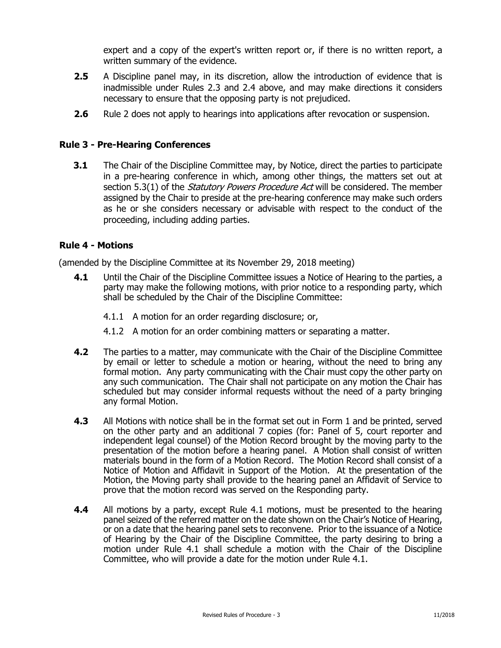expert and a copy of the expert's written report or, if there is no written report, a written summary of the evidence.

- **2.5** A Discipline panel may, in its discretion, allow the introduction of evidence that is inadmissible under Rules 2.3 and 2.4 above, and may make directions it considers necessary to ensure that the opposing party is not prejudiced.
- **2.6** Rule 2 does not apply to hearings into applications after revocation or suspension.

# **Rule 3 - Pre-Hearing Conferences**

**3.1** The Chair of the Discipline Committee may, by Notice, direct the parties to participate in a pre-hearing conference in which, among other things, the matters set out at section 5.3(1) of the *Statutory Powers Procedure Act* will be considered. The member assigned by the Chair to preside at the pre-hearing conference may make such orders as he or she considers necessary or advisable with respect to the conduct of the proceeding, including adding parties.

# **Rule 4 - Motions**

(amended by the Discipline Committee at its November 29, 2018 meeting)

- **4.1** Until the Chair of the Discipline Committee issues a Notice of Hearing to the parties, a party may make the following motions, with prior notice to a responding party, which shall be scheduled by the Chair of the Discipline Committee:
	- 4.1.1 A motion for an order regarding disclosure; or,
	- 4.1.2 A motion for an order combining matters or separating a matter.
- **4.2** The parties to a matter, may communicate with the Chair of the Discipline Committee by email or letter to schedule a motion or hearing, without the need to bring any formal motion. Any party communicating with the Chair must copy the other party on any such communication. The Chair shall not participate on any motion the Chair has scheduled but may consider informal requests without the need of a party bringing any formal Motion.
- **4.3** All Motions with notice shall be in the format set out in Form 1 and be printed, served on the other party and an additional 7 copies (for: Panel of 5, court reporter and independent legal counsel) of the Motion Record brought by the moving party to the presentation of the motion before a hearing panel. A Motion shall consist of written materials bound in the form of a Motion Record. The Motion Record shall consist of a Notice of Motion and Affidavit in Support of the Motion. At the presentation of the Motion, the Moving party shall provide to the hearing panel an Affidavit of Service to prove that the motion record was served on the Responding party.
- **4.4** All motions by a party, except Rule 4.1 motions, must be presented to the hearing panel seized of the referred matter on the date shown on the Chair's Notice of Hearing, or on a date that the hearing panel sets to reconvene. Prior to the issuance of a Notice of Hearing by the Chair of the Discipline Committee, the party desiring to bring a motion under Rule 4.1 shall schedule a motion with the Chair of the Discipline Committee, who will provide a date for the motion under Rule 4.1.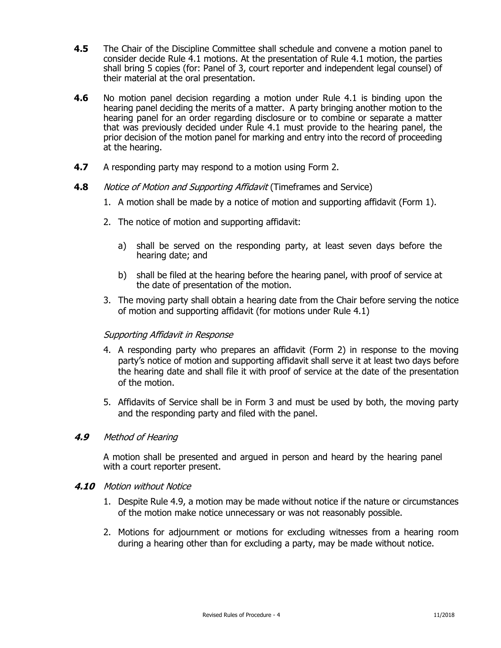- **4.5** The Chair of the Discipline Committee shall schedule and convene a motion panel to consider decide Rule 4.1 motions. At the presentation of Rule 4.1 motion, the parties shall bring 5 copies (for: Panel of 3, court reporter and independent legal counsel) of their material at the oral presentation.
- **4.6** No motion panel decision regarding a motion under Rule 4.1 is binding upon the hearing panel deciding the merits of a matter. A party bringing another motion to the hearing panel for an order regarding disclosure or to combine or separate a matter that was previously decided under Rule 4.1 must provide to the hearing panel, the prior decision of the motion panel for marking and entry into the record of proceeding at the hearing.
- **4.7** A responding party may respond to a motion using Form 2.
- **4.8** Notice of Motion and Supporting Affidavit (Timeframes and Service)
	- 1. A motion shall be made by a notice of motion and supporting affidavit (Form 1).
	- 2. The notice of motion and supporting affidavit:
		- a) shall be served on the responding party, at least seven days before the hearing date; and
		- b) shall be filed at the hearing before the hearing panel, with proof of service at the date of presentation of the motion.
	- 3. The moving party shall obtain a hearing date from the Chair before serving the notice of motion and supporting affidavit (for motions under Rule 4.1)

# Supporting Affidavit in Response

- 4. A responding party who prepares an affidavit (Form 2) in response to the moving party's notice of motion and supporting affidavit shall serve it at least two days before the hearing date and shall file it with proof of service at the date of the presentation of the motion.
- 5. Affidavits of Service shall be in Form 3 and must be used by both, the moving party and the responding party and filed with the panel.

# **4.9** Method of Hearing

A motion shall be presented and argued in person and heard by the hearing panel with a court reporter present.

# **4.10** Motion without Notice

- 1. Despite Rule 4.9, a motion may be made without notice if the nature or circumstances of the motion make notice unnecessary or was not reasonably possible.
- 2. Motions for adjournment or motions for excluding witnesses from a hearing room during a hearing other than for excluding a party, may be made without notice.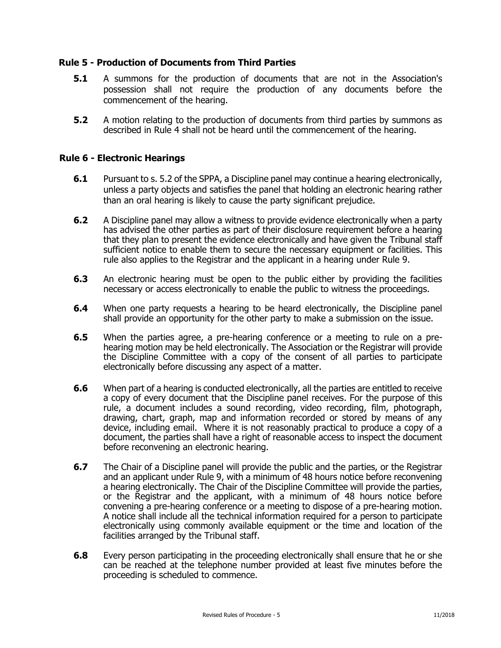# **Rule 5 - Production of Documents from Third Parties**

- **5.1** A summons for the production of documents that are not in the Association's possession shall not require the production of any documents before the commencement of the hearing.
- **5.2** A motion relating to the production of documents from third parties by summons as described in Rule 4 shall not be heard until the commencement of the hearing.

#### **Rule 6 - Electronic Hearings**

- **6.1** Pursuant to s. 5.2 of the SPPA, a Discipline panel may continue a hearing electronically, unless a party objects and satisfies the panel that holding an electronic hearing rather than an oral hearing is likely to cause the party significant prejudice.
- **6.2** A Discipline panel may allow a witness to provide evidence electronically when a party has advised the other parties as part of their disclosure requirement before a hearing that they plan to present the evidence electronically and have given the Tribunal staff sufficient notice to enable them to secure the necessary equipment or facilities. This rule also applies to the Registrar and the applicant in a hearing under Rule 9.
- **6.3** An electronic hearing must be open to the public either by providing the facilities necessary or access electronically to enable the public to witness the proceedings.
- **6.4** When one party requests a hearing to be heard electronically, the Discipline panel shall provide an opportunity for the other party to make a submission on the issue.
- **6.5** When the parties agree, a pre-hearing conference or a meeting to rule on a prehearing motion may be held electronically. The Association or the Registrar will provide the Discipline Committee with a copy of the consent of all parties to participate electronically before discussing any aspect of a matter.
- **6.6** When part of a hearing is conducted electronically, all the parties are entitled to receive a copy of every document that the Discipline panel receives. For the purpose of this rule, a document includes a sound recording, video recording, film, photograph, drawing, chart, graph, map and information recorded or stored by means of any device, including email. Where it is not reasonably practical to produce a copy of a document, the parties shall have a right of reasonable access to inspect the document before reconvening an electronic hearing.
- **6.7** The Chair of a Discipline panel will provide the public and the parties, or the Registrar and an applicant under Rule 9, with a minimum of 48 hours notice before reconvening a hearing electronically. The Chair of the Discipline Committee will provide the parties, or the Registrar and the applicant, with a minimum of 48 hours notice before convening a pre-hearing conference or a meeting to dispose of a pre-hearing motion. A notice shall include all the technical information required for a person to participate electronically using commonly available equipment or the time and location of the facilities arranged by the Tribunal staff.
- **6.8** Every person participating in the proceeding electronically shall ensure that he or she can be reached at the telephone number provided at least five minutes before the proceeding is scheduled to commence.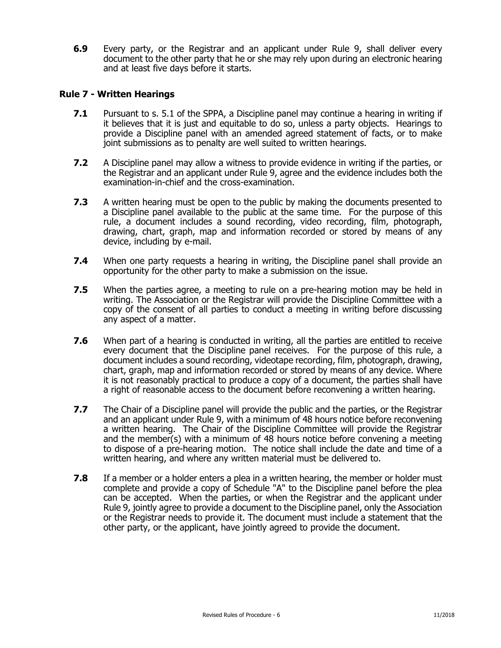**6.9** Every party, or the Registrar and an applicant under Rule 9, shall deliver every document to the other party that he or she may rely upon during an electronic hearing and at least five days before it starts.

# **Rule 7 - Written Hearings**

- **7.1** Pursuant to s. 5.1 of the SPPA, a Discipline panel may continue a hearing in writing if it believes that it is just and equitable to do so, unless a party objects. Hearings to provide a Discipline panel with an amended agreed statement of facts, or to make joint submissions as to penalty are well suited to written hearings.
- **7.2** A Discipline panel may allow a witness to provide evidence in writing if the parties, or the Registrar and an applicant under Rule 9, agree and the evidence includes both the examination-in-chief and the cross-examination.
- **7.3** A written hearing must be open to the public by making the documents presented to a Discipline panel available to the public at the same time. For the purpose of this rule, a document includes a sound recording, video recording, film, photograph, drawing, chart, graph, map and information recorded or stored by means of any device, including by e-mail.
- **7.4** When one party requests a hearing in writing, the Discipline panel shall provide an opportunity for the other party to make a submission on the issue.
- **7.5** When the parties agree, a meeting to rule on a pre-hearing motion may be held in writing. The Association or the Registrar will provide the Discipline Committee with a copy of the consent of all parties to conduct a meeting in writing before discussing any aspect of a matter.
- **7.6** When part of a hearing is conducted in writing, all the parties are entitled to receive every document that the Discipline panel receives. For the purpose of this rule, a document includes a sound recording, videotape recording, film, photograph, drawing, chart, graph, map and information recorded or stored by means of any device. Where it is not reasonably practical to produce a copy of a document, the parties shall have a right of reasonable access to the document before reconvening a written hearing.
- **7.7** The Chair of a Discipline panel will provide the public and the parties, or the Registrar and an applicant under Rule 9, with a minimum of 48 hours notice before reconvening a written hearing. The Chair of the Discipline Committee will provide the Registrar and the member(s) with a minimum of 48 hours notice before convening a meeting to dispose of a pre-hearing motion. The notice shall include the date and time of a written hearing, and where any written material must be delivered to.
- **7.8** If a member or a holder enters a plea in a written hearing, the member or holder must complete and provide a copy of Schedule "A" to the Discipline panel before the plea can be accepted. When the parties, or when the Registrar and the applicant under Rule 9, jointly agree to provide a document to the Discipline panel, only the Association or the Registrar needs to provide it. The document must include a statement that the other party, or the applicant, have jointly agreed to provide the document.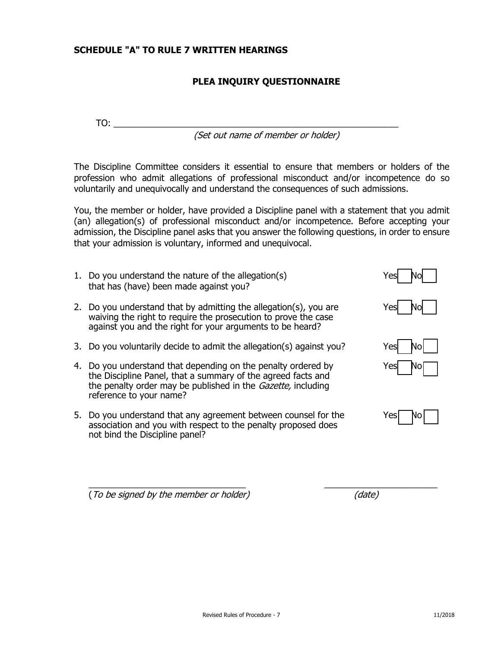# **SCHEDULE "A" TO RULE 7 WRITTEN HEARINGS**

# **PLEA INQUIRY QUESTIONNAIRE**

TO: \_\_\_\_\_\_\_\_\_\_\_\_\_\_\_\_\_\_\_\_\_\_\_\_\_\_\_\_\_\_\_\_\_\_\_\_\_\_\_\_\_\_\_\_\_\_\_\_\_\_\_\_\_\_\_\_\_\_

(Set out name of member or holder)

The Discipline Committee considers it essential to ensure that members or holders of the profession who admit allegations of professional misconduct and/or incompetence do so voluntarily and unequivocally and understand the consequences of such admissions.

You, the member or holder, have provided a Discipline panel with a statement that you admit (an) allegation(s) of professional misconduct and/or incompetence. Before accepting your admission, the Discipline panel asks that you answer the following questions, in order to ensure that your admission is voluntary, informed and unequivocal.

- 1. Do you understand the nature of the allegation(s) The No U that has (have) been made against you?
- 2. Do you understand that by admitting the allegation(s), you are  $Yes$   $Nol$ waiving the right to require the prosecution to prove the case against you and the right for your arguments to be heard?
- 3. Do you voluntarily decide to admit the allegation(s) against you? Yes  $\Box$  No  $\Box$
- 4. Do you understand that depending on the penalty ordered by the Discipline Panel, that a summary of the agreed facts and the penalty order may be published in the *Gazette*, including reference to your name?
- 5. Do you understand that any agreement between counsel for the association and you with respect to the penalty proposed does not bind the Discipline panel?

| esl/ | No |
|------|----|
|      |    |
|      |    |



| NOI |
|-----|
| Nol |

|  | Ю |  |
|--|---|--|
|  |   |  |

(To be signed by the member or holder) (date)

\_\_\_\_\_\_\_\_\_\_\_\_\_\_\_\_\_\_\_\_\_\_\_\_\_\_\_\_\_\_\_\_ \_\_\_\_\_\_\_\_\_\_\_\_\_\_\_\_\_\_\_\_\_\_\_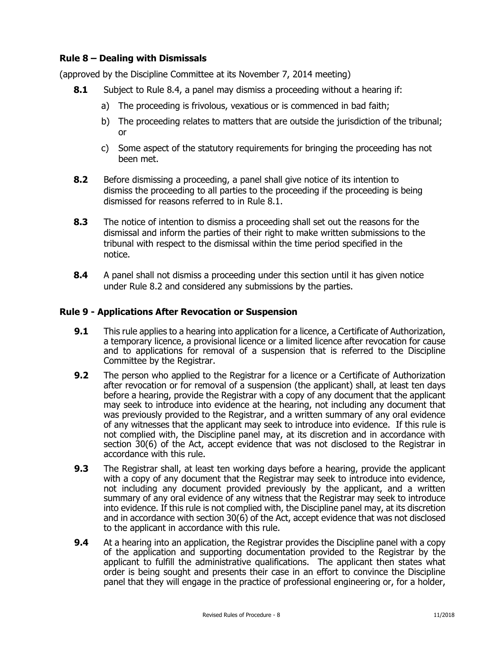# **Rule 8 – Dealing with Dismissals**

(approved by the Discipline Committee at its November 7, 2014 meeting)

- **8.1** Subject to Rule 8.4, a panel may dismiss a proceeding without a hearing if:
	- a) The proceeding is frivolous, vexatious or is commenced in bad faith;
	- b) The proceeding relates to matters that are outside the jurisdiction of the tribunal; or
	- c) Some aspect of the statutory requirements for bringing the proceeding has not been met.
- **8.2** Before dismissing a proceeding, a panel shall give notice of its intention to dismiss the proceeding to all parties to the proceeding if the proceeding is being dismissed for reasons referred to in Rule 8.1.
- **8.3** The notice of intention to dismiss a proceeding shall set out the reasons for the dismissal and inform the parties of their right to make written submissions to the tribunal with respect to the dismissal within the time period specified in the notice.
- **8.4** A panel shall not dismiss a proceeding under this section until it has given notice under Rule 8.2 and considered any submissions by the parties.

# **Rule 9 - Applications After Revocation or Suspension**

- **9.1** This rule applies to a hearing into application for a licence, a Certificate of Authorization, a temporary licence, a provisional licence or a limited licence after revocation for cause and to applications for removal of a suspension that is referred to the Discipline Committee by the Registrar.
- **9.2** The person who applied to the Registrar for a licence or a Certificate of Authorization after revocation or for removal of a suspension (the applicant) shall, at least ten days before a hearing, provide the Registrar with a copy of any document that the applicant may seek to introduce into evidence at the hearing, not including any document that was previously provided to the Registrar, and a written summary of any oral evidence of any witnesses that the applicant may seek to introduce into evidence. If this rule is not complied with, the Discipline panel may, at its discretion and in accordance with section 30(6) of the Act, accept evidence that was not disclosed to the Registrar in accordance with this rule.
- **9.3** The Registrar shall, at least ten working days before a hearing, provide the applicant with a copy of any document that the Registrar may seek to introduce into evidence, not including any document provided previously by the applicant, and a written summary of any oral evidence of any witness that the Registrar may seek to introduce into evidence. If this rule is not complied with, the Discipline panel may, at its discretion and in accordance with section 30(6) of the Act, accept evidence that was not disclosed to the applicant in accordance with this rule.
- **9.4** At a hearing into an application, the Registrar provides the Discipline panel with a copy of the application and supporting documentation provided to the Registrar by the applicant to fulfill the administrative qualifications. The applicant then states what order is being sought and presents their case in an effort to convince the Discipline panel that they will engage in the practice of professional engineering or, for a holder,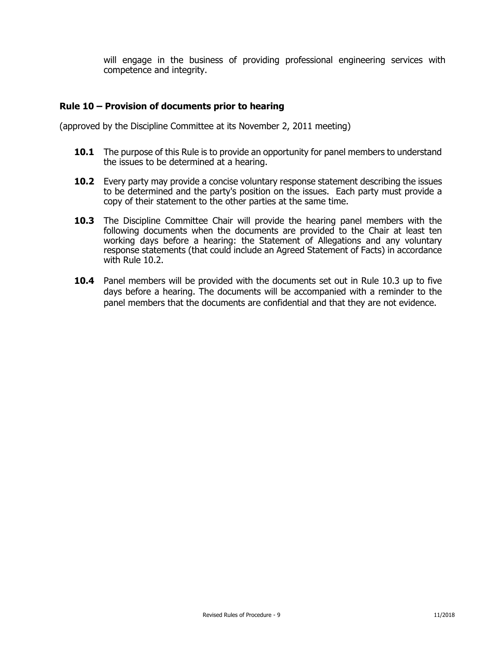will engage in the business of providing professional engineering services with competence and integrity.

#### **Rule 10 – Provision of documents prior to hearing**

(approved by the Discipline Committee at its November 2, 2011 meeting)

- **10.1** The purpose of this Rule is to provide an opportunity for panel members to understand the issues to be determined at a hearing.
- **10.2** Every party may provide a concise voluntary response statement describing the issues to be determined and the party's position on the issues. Each party must provide a copy of their statement to the other parties at the same time.
- **10.3** The Discipline Committee Chair will provide the hearing panel members with the following documents when the documents are provided to the Chair at least ten working days before a hearing: the Statement of Allegations and any voluntary response statements (that could include an Agreed Statement of Facts) in accordance with Rule 10.2.
- **10.4** Panel members will be provided with the documents set out in Rule 10.3 up to five days before a hearing. The documents will be accompanied with a reminder to the panel members that the documents are confidential and that they are not evidence.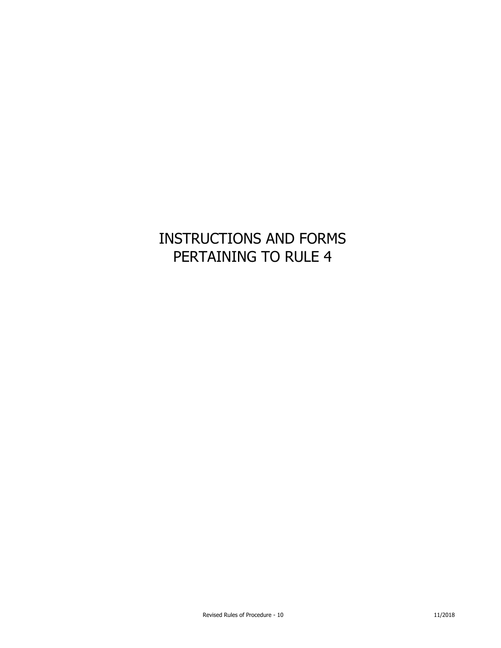# INSTRUCTIONS AND FORMS PERTAINING TO RULE 4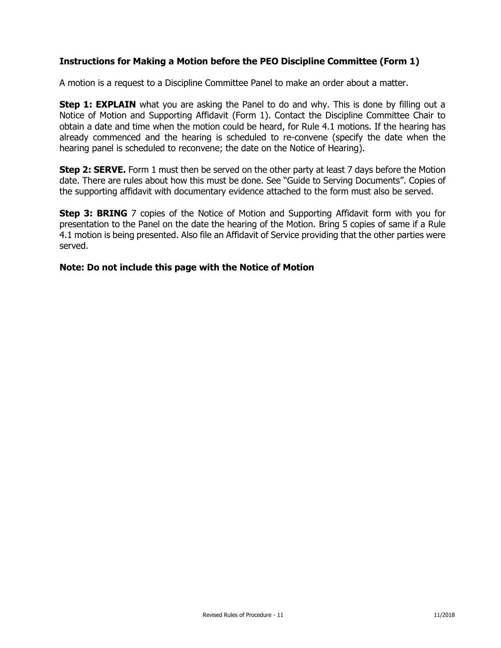# **Instructions for Making a Motion before the PEO Discipline Committee (Form 1)**

A motion is a request to a Discipline Committee Panel to make an order about a matter.

**Step 1: EXPLAIN** what you are asking the Panel to do and why. This is done by filling out a Notice of Motion and Supporting Affidavit (Form 1). Contact the Discipline Committee Chair to obtain a date and time when the motion could be heard, for Rule 4.1 motions. If the hearing has already commenced and the hearing is scheduled to re-convene (specify the date when the hearing panel is scheduled to reconvene; the date on the Notice of Hearing).

**Step 2: SERVE.** Form 1 must then be served on the other party at least 7 days before the Motion date. There are rules about how this must be done. See "Guide to Serving Documents". Copies of the supporting affidavit with documentary evidence attached to the form must also be served.

**Step 3: BRING** 7 copies of the Notice of Motion and Supporting Affidavit form with you for presentation to the Panel on the date the hearing of the Motion. Bring 5 copies of same if a Rule 4.1 motion is being presented. Also file an Affidavit of Service providing that the other parties were served.

#### **Note: Do not include this page with the Notice of Motion**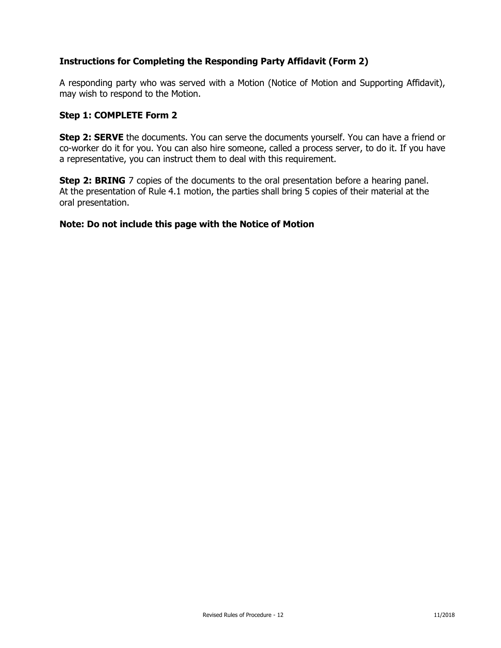# **Instructions for Completing the Responding Party Affidavit (Form 2)**

A responding party who was served with a Motion (Notice of Motion and Supporting Affidavit), may wish to respond to the Motion.

#### **Step 1: COMPLETE Form 2**

**Step 2: SERVE** the documents. You can serve the documents yourself. You can have a friend or co-worker do it for you. You can also hire someone, called a process server, to do it. If you have a representative, you can instruct them to deal with this requirement.

**Step 2: BRING** 7 copies of the documents to the oral presentation before a hearing panel. At the presentation of Rule 4.1 motion, the parties shall bring 5 copies of their material at the oral presentation.

#### **Note: Do not include this page with the Notice of Motion**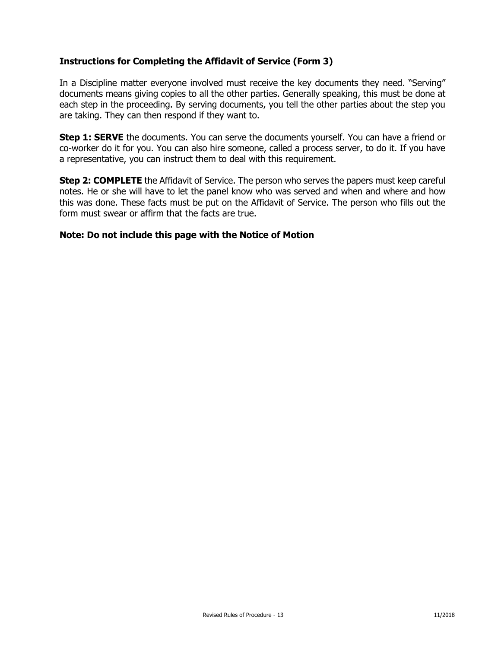# **Instructions for Completing the Affidavit of Service (Form 3)**

In a Discipline matter everyone involved must receive the key documents they need. "Serving" documents means giving copies to all the other parties. Generally speaking, this must be done at each step in the proceeding. By serving documents, you tell the other parties about the step you are taking. They can then respond if they want to.

**Step 1: SERVE** the documents. You can serve the documents yourself. You can have a friend or co-worker do it for you. You can also hire someone, called a process server, to do it. If you have a representative, you can instruct them to deal with this requirement.

**Step 2: COMPLETE** the Affidavit of Service. The person who serves the papers must keep careful notes. He or she will have to let the panel know who was served and when and where and how this was done. These facts must be put on the Affidavit of Service. The person who fills out the form must swear or affirm that the facts are true.

#### **Note: Do not include this page with the Notice of Motion**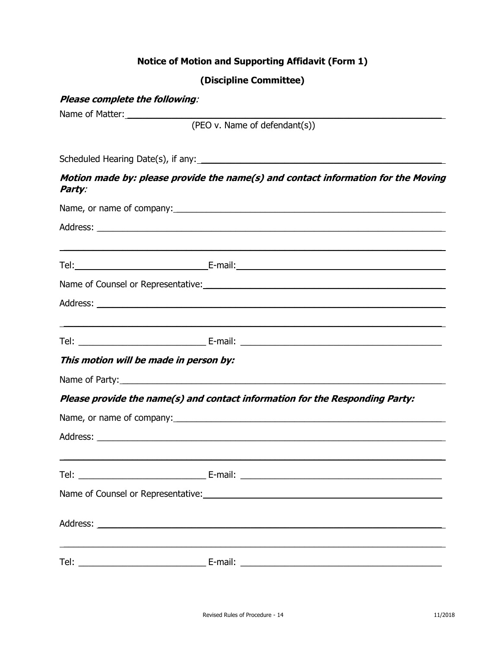# **Notice of Motion and Supporting Affidavit (Form 1)**

# **(Discipline Committee)**

| Please complete the following:         |                                                                                                                      |  |  |  |
|----------------------------------------|----------------------------------------------------------------------------------------------------------------------|--|--|--|
|                                        |                                                                                                                      |  |  |  |
|                                        | (PEO v. Name of defendant(s))                                                                                        |  |  |  |
|                                        |                                                                                                                      |  |  |  |
| Party:                                 | Motion made by: please provide the name(s) and contact information for the Moving                                    |  |  |  |
|                                        |                                                                                                                      |  |  |  |
|                                        |                                                                                                                      |  |  |  |
|                                        | <u> 1989 - Jan Samuel Barbara, margaret amerikan basa dan berasal dan berasal dalam berasal dalam berasal dalam </u> |  |  |  |
|                                        |                                                                                                                      |  |  |  |
|                                        |                                                                                                                      |  |  |  |
|                                        |                                                                                                                      |  |  |  |
|                                        |                                                                                                                      |  |  |  |
| This motion will be made in person by: |                                                                                                                      |  |  |  |
|                                        |                                                                                                                      |  |  |  |
|                                        | Please provide the name(s) and contact information for the Responding Party:                                         |  |  |  |
|                                        |                                                                                                                      |  |  |  |
|                                        |                                                                                                                      |  |  |  |
|                                        |                                                                                                                      |  |  |  |
|                                        |                                                                                                                      |  |  |  |
|                                        |                                                                                                                      |  |  |  |
| Tel:                                   |                                                                                                                      |  |  |  |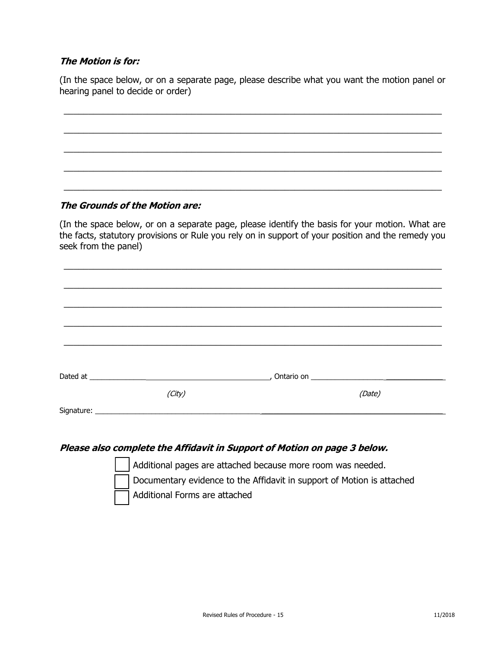# **The Motion is for:**

(In the space below, or on a separate page, please describe what you want the motion panel or hearing panel to decide or order)

\_\_\_\_\_\_\_\_\_\_\_\_\_\_\_\_\_\_\_\_\_\_\_\_\_\_\_\_\_\_\_\_\_\_\_\_\_\_\_\_\_\_\_\_\_\_\_\_\_\_\_\_\_\_\_\_\_\_\_\_\_\_\_\_\_\_\_\_\_\_\_\_\_\_\_\_\_

\_\_\_\_\_\_\_\_\_\_\_\_\_\_\_\_\_\_\_\_\_\_\_\_\_\_\_\_\_\_\_\_\_\_\_\_\_\_\_\_\_\_\_\_\_\_\_\_\_\_\_\_\_\_\_\_\_\_\_\_\_\_\_\_\_\_\_\_\_\_\_\_\_\_\_\_\_

\_\_\_\_\_\_\_\_\_\_\_\_\_\_\_\_\_\_\_\_\_\_\_\_\_\_\_\_\_\_\_\_\_\_\_\_\_\_\_\_\_\_\_\_\_\_\_\_\_\_\_\_\_\_\_\_\_\_\_\_\_\_\_\_\_\_\_\_\_\_\_\_\_\_\_\_\_

\_\_\_\_\_\_\_\_\_\_\_\_\_\_\_\_\_\_\_\_\_\_\_\_\_\_\_\_\_\_\_\_\_\_\_\_\_\_\_\_\_\_\_\_\_\_\_\_\_\_\_\_\_\_\_\_\_\_\_\_\_\_\_\_\_\_\_\_\_\_\_\_\_\_\_\_\_

\_\_\_\_\_\_\_\_\_\_\_\_\_\_\_\_\_\_\_\_\_\_\_\_\_\_\_\_\_\_\_\_\_\_\_\_\_\_\_\_\_\_\_\_\_\_\_\_\_\_\_\_\_\_\_\_\_\_\_\_\_\_\_\_\_\_\_\_\_\_\_\_\_\_\_\_\_

# **The Grounds of the Motion are:**

(In the space below, or on a separate page, please identify the basis for your motion. What are the facts, statutory provisions or Rule you rely on in support of your position and the remedy you seek from the panel)

\_\_\_\_\_\_\_\_\_\_\_\_\_\_\_\_\_\_\_\_\_\_\_\_\_\_\_\_\_\_\_\_\_\_\_\_\_\_\_\_\_\_\_\_\_\_\_\_\_\_\_\_\_\_\_\_\_\_\_\_\_\_\_\_\_\_\_\_\_\_\_\_\_\_\_\_\_

|        | __, Ontario on ________________________ |        |
|--------|-----------------------------------------|--------|
| (City) |                                         | (Date) |
|        |                                         |        |
|        |                                         |        |

# **Please also complete the Affidavit in Support of Motion on page 3 below.**

 Additional pages are attached because more room was needed. Documentary evidence to the Affidavit in support of Motion is attached Additional Forms are attached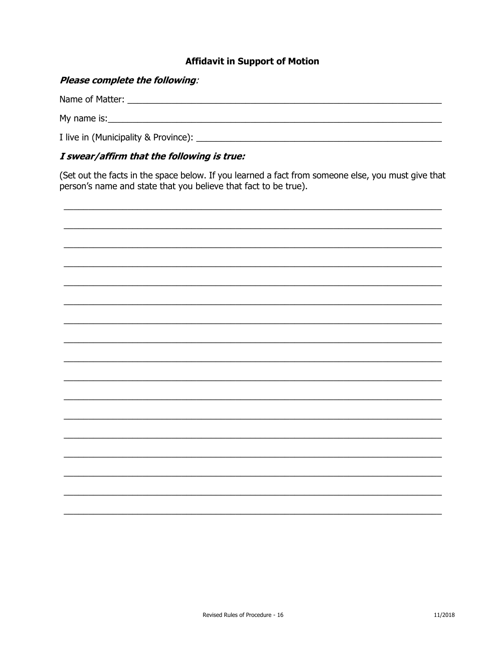# **Affidavit in Support of Motion**

# Please complete the following:

Name of Matter: Name of Matter and the state of the state of the state of the state of the state of the state of the state of the state of the state of the state of the state of the state of the state of the state of the s I live in (Municipality & Province): 1

# I swear/affirm that the following is true:

(Set out the facts in the space below. If you learned a fact from someone else, you must give that person's name and state that you believe that fact to be true).

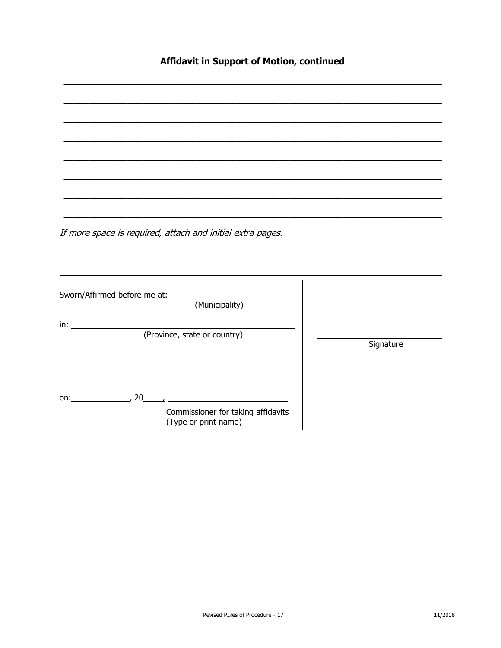# Affidavit in Support of Motion, continued

If more space is required, attach and initial extra pages.

| Sworn/Affirmed before me at: | (Municipality)                                             |           |
|------------------------------|------------------------------------------------------------|-----------|
| in:                          |                                                            |           |
|                              | (Province, state or country)                               |           |
|                              |                                                            | Signature |
|                              |                                                            |           |
|                              |                                                            |           |
|                              |                                                            |           |
| 20<br>on:                    |                                                            |           |
|                              | Commissioner for taking affidavits<br>(Type or print name) |           |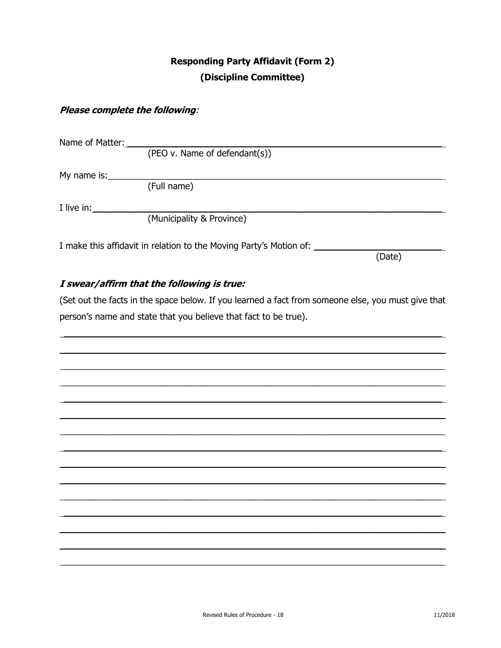# **Responding Party Affidavit (Form 2)** (Discipline Committee)

# Please complete the following:

| Name of Matter: |                                                                    |        |
|-----------------|--------------------------------------------------------------------|--------|
|                 | (PEO v. Name of defendant(s))                                      |        |
| My name is:     |                                                                    |        |
|                 | (Full name)                                                        |        |
| I live in:      |                                                                    |        |
|                 | (Municipality & Province)                                          |        |
|                 |                                                                    |        |
|                 | I make this affidavit in relation to the Moving Party's Motion of: | (Date) |
|                 |                                                                    |        |

# I swear/affirm that the following is true:

(Set out the facts in the space below. If you learned a fact from someone else, you must give that person's name and state that you believe that fact to be true).

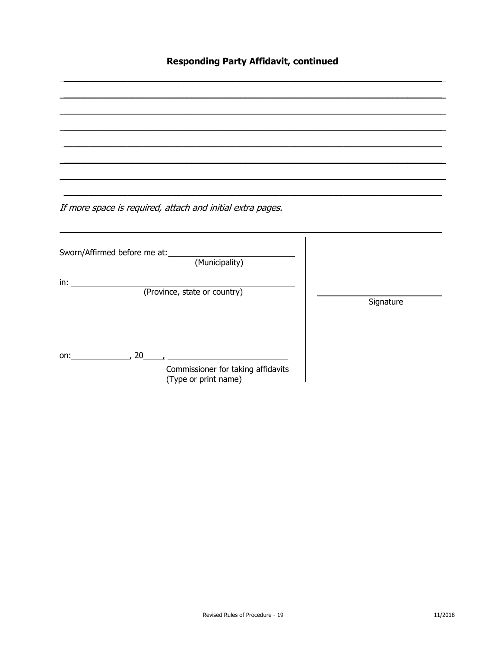# **Responding Party Affidavit, continued**

If more space is required, attach and initial extra pages. Sworn/Affirmed before me at: (Municipality)  $\mathsf{in:}$  . The set of  $\mathsf{in}:$ (Province, state or country) Signature on:  $\qquad \qquad 20 \qquad \qquad$ Commissioner for taking affidavits (Type or print name)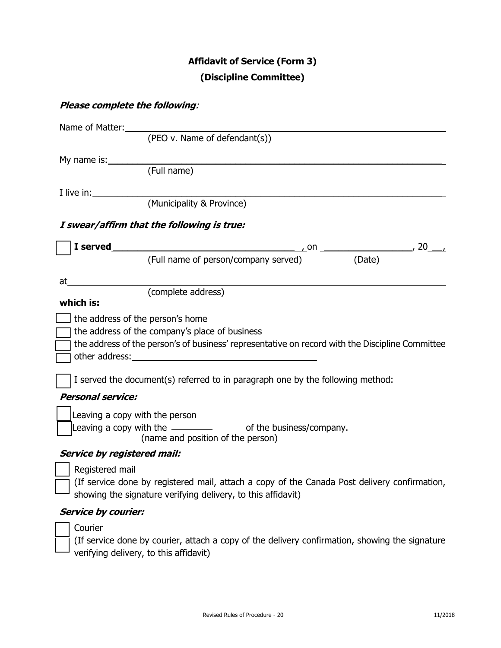# **Affidavit of Service (Form 3) (Discipline Committee)**

# **Please complete the following**:

|    | Name of Matter:                    |                                                                                                                                                                                                                                |
|----|------------------------------------|--------------------------------------------------------------------------------------------------------------------------------------------------------------------------------------------------------------------------------|
|    |                                    | (PEO v. Name of defendant(s))                                                                                                                                                                                                  |
|    |                                    | My name is: Note that the same state of the same state of the same state of the same state of the same state of the same state of the same state of the same state of the same state of the same state of the same state of th |
|    |                                    | (Full name)                                                                                                                                                                                                                    |
|    | I live in:                         |                                                                                                                                                                                                                                |
|    |                                    | (Municipality & Province)                                                                                                                                                                                                      |
|    |                                    | I swear/affirm that the following is true:                                                                                                                                                                                     |
|    | I served                           |                                                                                                                                                                                                                                |
|    |                                    | (Full name of person/company served) (Date)                                                                                                                                                                                    |
| at |                                    |                                                                                                                                                                                                                                |
|    |                                    | (complete address)                                                                                                                                                                                                             |
|    | which is:                          |                                                                                                                                                                                                                                |
|    | the address of the person's home   |                                                                                                                                                                                                                                |
|    |                                    | the address of the company's place of business                                                                                                                                                                                 |
|    |                                    | the address of the person's of business' representative on record with the Discipline Committee                                                                                                                                |
|    |                                    | other address: Universe other and the set of the set of the set of the set of the set of the set of the set of the set of the set of the set of the set of the set of the set of the set of the set of the set of the set of t |
|    |                                    | I served the document(s) referred to in paragraph one by the following method:                                                                                                                                                 |
|    | <b>Personal service:</b>           |                                                                                                                                                                                                                                |
|    | Leaving a copy with the person     |                                                                                                                                                                                                                                |
|    |                                    | Leaving a copy with the $\qquad \qquad$ of the business/company.                                                                                                                                                               |
|    |                                    | (name and position of the person)                                                                                                                                                                                              |
|    | <b>Service by registered mail:</b> |                                                                                                                                                                                                                                |
|    | Registered mail                    |                                                                                                                                                                                                                                |

 (If service done by registered mail, attach a copy of the Canada Post delivery confirmation, showing the signature verifying delivery, to this affidavit)

# **Service by courier:**

Courier

 (If service done by courier, attach a copy of the delivery confirmation, showing the signature  $\Box$  verifying delivery, to this affidavit)